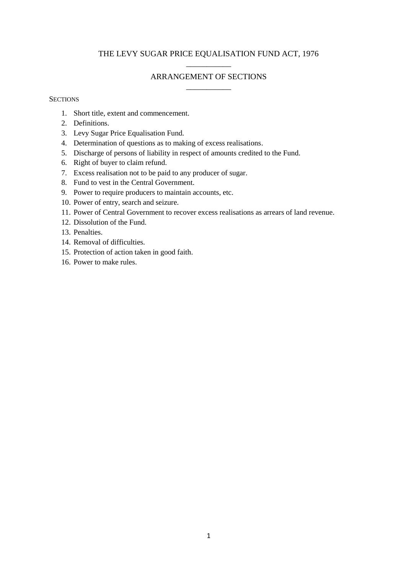# THE LEVY SUGAR PRICE EQUALISATION FUND ACT, 1976 \_\_\_\_\_\_\_\_\_\_\_

# ARRANGEMENT OF SECTIONS \_\_\_\_\_\_\_\_\_\_\_

### **SECTIONS**

- 1. Short title, extent and commencement.
- 2. Definitions.
- 3. Levy Sugar Price Equalisation Fund.
- 4. Determination of questions as to making of excess realisations.
- 5. Discharge of persons of liability in respect of amounts credited to the Fund.
- 6. Right of buyer to claim refund.
- 7. Excess realisation not to be paid to any producer of sugar.
- 8. Fund to vest in the Central Government.
- 9. Power to require producers to maintain accounts, etc.
- 10. Power of entry, search and seizure.
- 11. Power of Central Government to recover excess realisations as arrears of land revenue.
- 12. Dissolution of the Fund.
- 13. Penalties.
- 14. Removal of difficulties.
- 15. Protection of action taken in good faith.
- 16. Power to make rules.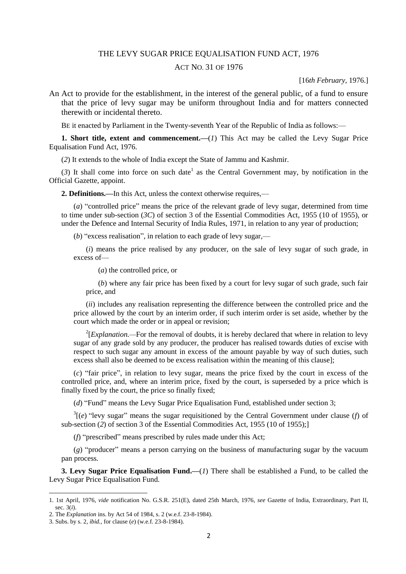### THE LEVY SUGAR PRICE EQUALISATION FUND ACT, 1976

### ACT NO. 31 OF 1976

[16*th February,* 1976.]

An Act to provide for the establishment, in the interest of the general public, of a fund to ensure that the price of levy sugar may be uniform throughout India and for matters connected therewith or incidental thereto.

BE it enacted by Parliament in the Twenty-seventh Year of the Republic of India as follows:—

**1. Short title, extent and commencement.**—(*1*) This Act may be called the Levy Sugar Price Equalisation Fund Act, 1976.

(*2*) It extends to the whole of India except the State of Jammu and Kashmir.

(3) It shall come into force on such date<sup>1</sup> as the Central Government may, by notification in the Official Gazette, appoint.

**2. Definitions.—**In this Act, unless the context otherwise requires,—

(*a*) "controlled price" means the price of the relevant grade of levy sugar, determined from time to time under sub-section (*3C*) of section 3 of the Essential Commodities Act, 1955 (10 of 1955), or under the Defence and Internal Security of India Rules, 1971, in relation to any year of production;

(*b*) "excess realisation", in relation to each grade of levy sugar,—

(*i*) means the price realised by any producer, on the sale of levy sugar of such grade, in excess of—

(*a*) the controlled price, or

(*b*) where any fair price has been fixed by a court for levy sugar of such grade, such fair price, and

(*ii*) includes any realisation representing the difference between the controlled price and the price allowed by the court by an interim order, if such interim order is set aside, whether by the court which made the order or in appeal or revision;

 $2$ <sup>2</sup>[*Explanation*.—For the removal of doubts, it is hereby declared that where in relation to levy sugar of any grade sold by any producer, the producer has realised towards duties of excise with respect to such sugar any amount in excess of the amount payable by way of such duties, such excess shall also be deemed to be excess realisation within the meaning of this clause];

(*c*) "fair price", in relation to levy sugar, means the price fixed by the court in excess of the controlled price, and, where an interim price, fixed by the court, is superseded by a price which is finally fixed by the court, the price so finally fixed;

(*d*) "Fund" means the Levy Sugar Price Equalisation Fund, established under section 3;

 $3\left[\left(e\right)\right]$  "levy sugar" means the sugar requisitioned by the Central Government under clause (*f*) of sub-section (*2*) of section 3 of the Essential Commodities Act, 1955 (10 of 1955);]

(*f*) "prescribed" means prescribed by rules made under this Act;

(*g*) "producer" means a person carrying on the business of manufacturing sugar by the vacuum pan process.

**3. Levy Sugar Price Equalisation Fund.—**(*1*) There shall be established a Fund, to be called the Levy Sugar Price Equalisation Fund.

<sup>1. 1</sup>st April, 1976, *vide* notification No. G.S.R. 251(E), dated 25th March, 1976, *see* Gazette of India, Extraordinary, Part II, sec. 3(*i*).

<sup>2.</sup> The *Explanation* ins. by Act 54 of 1984, s. 2 (w.e.f. 23-8-1984).

<sup>3.</sup> Subs. by s. 2, *ibid.,* for clause (*e*) (w.e.f. 23-8-1984).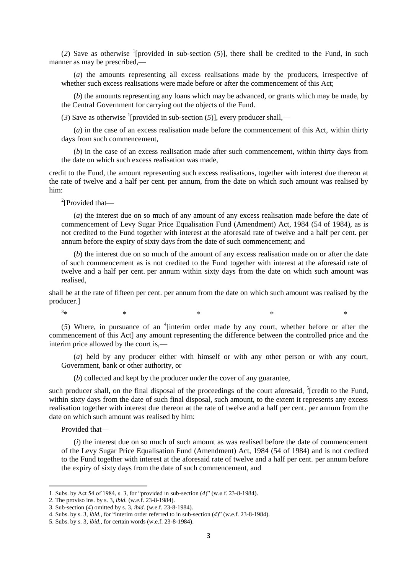(2) Save as otherwise <sup>1</sup>[provided in sub-section  $(5)$ ], there shall be credited to the Fund, in such manner as may be prescribed,—

(*a*) the amounts representing all excess realisations made by the producers, irrespective of whether such excess realisations were made before or after the commencement of this Act;

(*b*) the amounts representing any loans which may be advanced, or grants which may be made, by the Central Government for carrying out the objects of the Fund.

(3) Save as otherwise <sup>1</sup>[provided in sub-section (5)], every producer shall,—

(*a*) in the case of an excess realisation made before the commencement of this Act, within thirty days from such commencement,

(*b*) in the case of an excess realisation made after such commencement, within thirty days from the date on which such excess realisation was made,

credit to the Fund, the amount representing such excess realisations, together with interest due thereon at the rate of twelve and a half per cent. per annum, from the date on which such amount was realised by him:

<sup>2</sup>[Provided that-

(*a*) the interest due on so much of any amount of any excess realisation made before the date of commencement of Levy Sugar Price Equalisation Fund (Amendment) Act, 1984 (54 of 1984), as is not credited to the Fund together with interest at the aforesaid rate of twelve and a half per cent. per annum before the expiry of sixty days from the date of such commencement; and

(*b*) the interest due on so much of the amount of any excess realisation made on or after the date of such commencement as is not credited to the Fund together with interest at the aforesaid rate of twelve and a half per cent. per annum within sixty days from the date on which such amount was realised,

shall be at the rate of fifteen per cent. per annum from the date on which such amount was realised by the producer.]

 $*$   $*$   $*$   $*$   $*$   $*$ 

 $3_{\ast}$ 

(5) Where, in pursuance of an <sup>4</sup>[interim order made by any court, whether before or after the commencement of this Act] any amount representing the difference between the controlled price and the interim price allowed by the court is,—

(*a*) held by any producer either with himself or with any other person or with any court, Government, bank or other authority, or

(*b*) collected and kept by the producer under the cover of any guarantee,

such producer shall, on the final disposal of the proceedings of the court aforesaid,  $5$  [credit to the Fund, within sixty days from the date of such final disposal, such amount, to the extent it represents any excess realisation together with interest due thereon at the rate of twelve and a half per cent. per annum from the date on which such amount was realised by him:

Provided that—

1

(*i*) the interest due on so much of such amount as was realised before the date of commencement of the Levy Sugar Price Equalisation Fund (Amendment) Act, 1984 (54 of 1984) and is not credited to the Fund together with interest at the aforesaid rate of twelve and a half per cent. per annum before the expiry of sixty days from the date of such commencement, and

2. The proviso ins. by s. 3, *ibid.* (w.e.f. 23-8-1984).

<sup>1.</sup> Subs. by Act 54 of 1984, s. 3, for "provided in sub-section (*4*)" (w.e.f. 23-8-1984).

<sup>3.</sup> Sub-section (*4*) omitted by s. 3, *ibid.* (w.e.f. 23-8-1984).

<sup>4.</sup> Subs. by s. 3, *ibid*., for "interim order referred to in sub-section (*4*)" (w.e.f. 23-8-1984).

<sup>5.</sup> Subs. by s. 3, *ibid*., for certain words (w.e.f. 23-8-1984).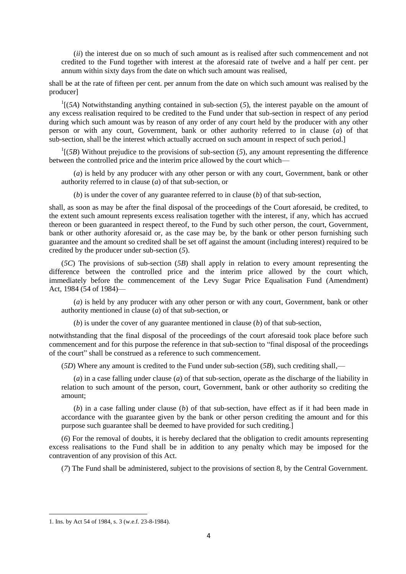(*ii*) the interest due on so much of such amount as is realised after such commencement and not credited to the Fund together with interest at the aforesaid rate of twelve and a half per cent. per annum within sixty days from the date on which such amount was realised,

shall be at the rate of fifteen per cent. per annum from the date on which such amount was realised by the producer]

 $<sup>1</sup>$ [(*5A*) Notwithstanding anything contained in sub-section (*5*), the interest payable on the amount of</sup> any excess realisation required to be credited to the Fund under that sub-section in respect of any period during which such amount was by reason of any order of any court held by the producer with any other person or with any court, Government, bank or other authority referred to in clause (*a*) of that sub-section, shall be the interest which actually accrued on such amount in respect of such period.]

 $<sup>1</sup>$ [(*5B*) Without prejudice to the provisions of sub-section (*5*), any amount representing the difference</sup> between the controlled price and the interim price allowed by the court which—

(*a*) is held by any producer with any other person or with any court, Government, bank or other authority referred to in clause (*a*) of that sub-section, or

(*b*) is under the cover of any guarantee referred to in clause (*b*) of that sub-section,

shall, as soon as may be after the final disposal of the proceedings of the Court aforesaid, be credited, to the extent such amount represents excess realisation together with the interest, if any, which has accrued thereon or been guaranteed in respect thereof, to the Fund by such other person, the court, Government, bank or other authority aforesaid or, as the case may be, by the bank or other person furnishing such guarantee and the amount so credited shall be set off against the amount (including interest) required to be credited by the producer under sub-section (*5*).

(*5C*) The provisions of sub-section (*5B*) shall apply in relation to every amount representing the difference between the controlled price and the interim price allowed by the court which, immediately before the commencement of the Levy Sugar Price Equalisation Fund (Amendment) Act, 1984 (54 of 1984)—

(*a*) is held by any producer with any other person or with any court, Government, bank or other authority mentioned in clause (*a*) of that sub-section, or

(*b*) is under the cover of any guarantee mentioned in clause (*b*) of that sub-section,

notwithstanding that the final disposal of the proceedings of the court aforesaid took place before such commencement and for this purpose the reference in that sub-section to "final disposal of the proceedings of the court" shall be construed as a reference to such commencement.

(*5D*) Where any amount is credited to the Fund under sub-section (*5B*), such crediting shall,—

(*a*) in a case falling under clause (*a*) of that sub-section, operate as the discharge of the liability in relation to such amount of the person, court, Government, bank or other authority so crediting the amount;

(*b*) in a case falling under clause (*b*) of that sub-section, have effect as if it had been made in accordance with the guarantee given by the bank or other person crediting the amount and for this purpose such guarantee shall be deemed to have provided for such crediting.]

(*6*) For the removal of doubts, it is hereby declared that the obligation to credit amounts representing excess realisations to the Fund shall be in addition to any penalty which may be imposed for the contravention of any provision of this Act.

(*7*) The Fund shall be administered, subject to the provisions of section 8, by the Central Government.

<sup>1.</sup> Ins. by Act 54 of 1984, s. 3 (w.e.f. 23-8-1984).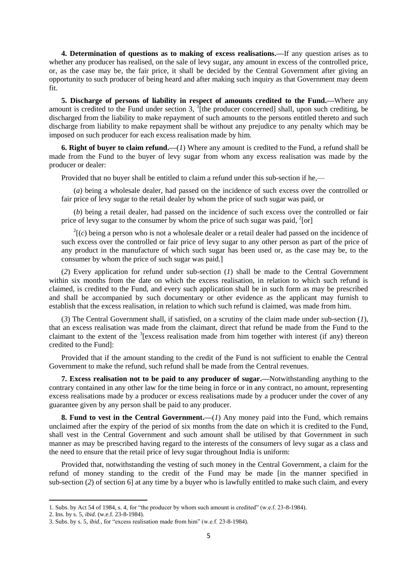**4. Determination of questions as to making of excess realisations.—**If any question arises as to whether any producer has realised, on the sale of levy sugar, any amount in excess of the controlled price, or, as the case may be, the fair price, it shall be decided by the Central Government after giving an opportunity to such producer of being heard and after making such inquiry as that Government may deem fit.

**5. Discharge of persons of liability in respect of amounts credited to the Fund.—**Where any amount is credited to the Fund under section  $3$ ,  $\frac{1}{1}$ [the producer concerned] shall, upon such crediting, be discharged from the liability to make repayment of such amounts to the persons entitled thereto and such discharge from liability to make repayment shall be without any prejudice to any penalty which may be imposed on such producer for each excess realisation made by him.

**6. Right of buyer to claim refund.—**(*1*) Where any amount is credited to the Fund, a refund shall be made from the Fund to the buyer of levy sugar from whom any excess realisation was made by the producer or dealer:

Provided that no buyer shall be entitled to claim a refund under this sub-section if he,—

(*a*) being a wholesale dealer, had passed on the incidence of such excess over the controlled or fair price of levy sugar to the retail dealer by whom the price of such sugar was paid, or

(*b*) being a retail dealer, had passed on the incidence of such excess over the controlled or fair price of levy sugar to the consumer by whom the price of such sugar was paid, <sup>2</sup>[or]

 $2(c)$  being a person who is not a wholesale dealer or a retail dealer had passed on the incidence of such excess over the controlled or fair price of levy sugar to any other person as part of the price of any product in the manufacture of which such sugar has been used or, as the case may be, to the consumer by whom the price of such sugar was paid.]

(*2*) Every application for refund under sub-section (*1*) shall be made to the Central Government within six months from the date on which the excess realisation, in relation to which such refund is claimed, is credited to the Fund, and every such application shall be in such form as may be prescribed and shall be accompanied by such documentary or other evidence as the applicant may furnish to establish that the excess realisation, in relation to which such refund is claimed, was made from him.

(*3*) The Central Government shall, if satisfied, on a scrutiny of the claim made under sub-section (*1*), that an excess realisation was made from the claimant, direct that refund be made from the Fund to the claimant to the extent of the  $3$ [excess realisation made from him together with interest (if any) thereon credited to the Fund]:

Provided that if the amount standing to the credit of the Fund is not sufficient to enable the Central Government to make the refund, such refund shall be made from the Central revenues.

**7. Excess realisation not to be paid to any producer of sugar.—**Notwithstanding anything to the contrary contained in any other law for the time being in force or in any contract, no amount, representing excess realisations made by a producer or excess realisations made by a producer under the cover of any guarantee given by any person shall be paid to any producer.

**8. Fund to vest in the Central Government.—**(*1*) Any money paid into the Fund, which remains unclaimed after the expiry of the period of six months from the date on which it is credited to the Fund, shall vest in the Central Government and such amount shall be utilised by that Government in such manner as may be prescribed having regard to the interests of the consumers of levy sugar as a class and the need to ensure that the retail price of levy sugar throughout India is uniform:

Provided that, notwithstanding the vesting of such money in the Central Government, a claim for the refund of money standing to the credit of the Fund may be made [in the manner specified in sub-section (*2*) of section 6] at any time by a buyer who is lawfully entitled to make such claim, and every

<sup>1.</sup> Subs. by Act 54 of 1984, s. 4, for "the producer by whom such amount is credited" (w.e.f. 23-8-1984).

<sup>2.</sup> Ins. by s. 5, *ibid.* (w.e.f. 23-8-1984).

<sup>3.</sup> Subs. by s. 5, *ibid.,* for "excess realisation made from him" (w.e.f. 23-8-1984).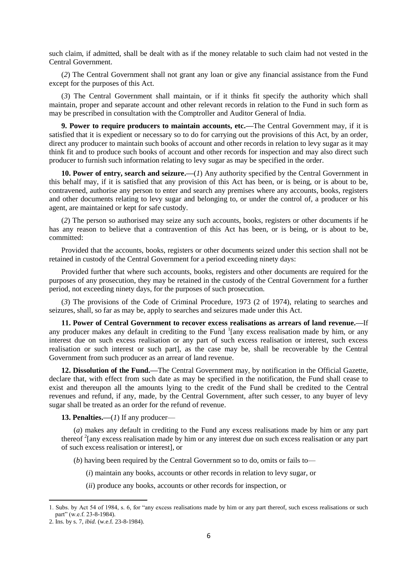such claim, if admitted, shall be dealt with as if the money relatable to such claim had not vested in the Central Government.

(*2*) The Central Government shall not grant any loan or give any financial assistance from the Fund except for the purposes of this Act.

(*3*) The Central Government shall maintain, or if it thinks fit specify the authority which shall maintain, proper and separate account and other relevant records in relation to the Fund in such form as may be prescribed in consultation with the Comptroller and Auditor General of India.

**9. Power to require producers to maintain accounts, etc.—**The Central Government may, if it is satisfied that it is expedient or necessary so to do for carrying out the provisions of this Act, by an order, direct any producer to maintain such books of account and other records in relation to levy sugar as it may think fit and to produce such books of account and other records for inspection and may also direct such producer to furnish such information relating to levy sugar as may be specified in the order.

**10. Power of entry, search and seizure.—**(*1*) Any authority specified by the Central Government in this behalf may, if it is satisfied that any provision of this Act has been, or is being, or is about to be, contravened, authorise any person to enter and search any premises where any accounts, books, registers and other documents relating to levy sugar and belonging to, or under the control of, a producer or his agent, are maintained or kept for safe custody.

(*2*) The person so authorised may seize any such accounts, books, registers or other documents if he has any reason to believe that a contravention of this Act has been, or is being, or is about to be, committed:

Provided that the accounts, books, registers or other documents seized under this section shall not be retained in custody of the Central Government for a period exceeding ninety days:

Provided further that where such accounts, books, registers and other documents are required for the purposes of any prosecution, they may be retained in the custody of the Central Government for a further period, not exceeding ninety days, for the purposes of such prosecution.

(*3*) The provisions of the Code of Criminal Procedure, 1973 (2 of 1974), relating to searches and seizures, shall, so far as may be, apply to searches and seizures made under this Act.

**11. Power of Central Government to recover excess realisations as arrears of land revenue.—**If any producer makes any default in crediting to the Fund  $\frac{1}{2}$  [any excess realisation made by him, or any interest due on such excess realisation or any part of such excess realisation or interest, such excess realisation or such interest or such part], as the case may be, shall be recoverable by the Central Government from such producer as an arrear of land revenue.

**12. Dissolution of the Fund.—**The Central Government may, by notification in the Official Gazette, declare that, with effect from such date as may be specified in the notification, the Fund shall cease to exist and thereupon all the amounts lying to the credit of the Fund shall be credited to the Central revenues and refund, if any, made, by the Central Government, after such cesser, to any buyer of levy sugar shall be treated as an order for the refund of revenue.

**13. Penalties.—**(*1*) If any producer—

(*a*) makes any default in crediting to the Fund any excess realisations made by him or any part thereof <sup>2</sup>[any excess realisation made by him or any interest due on such excess realisation or any part of such excess realisation or interest], or

- (*b*) having been required by the Central Government so to do, omits or fails to—
	- (*i*) maintain any books, accounts or other records in relation to levy sugar, or
	- (*ii*) produce any books, accounts or other records for inspection, or

<sup>1.</sup> Subs. by Act 54 of 1984, s. 6, for "any excess realisations made by him or any part thereof, such excess realisations or such part" (w.e.f. 23-8-1984).

<sup>2.</sup> Ins. by s. 7, *ibid.* (w.e.f. 23-8-1984).